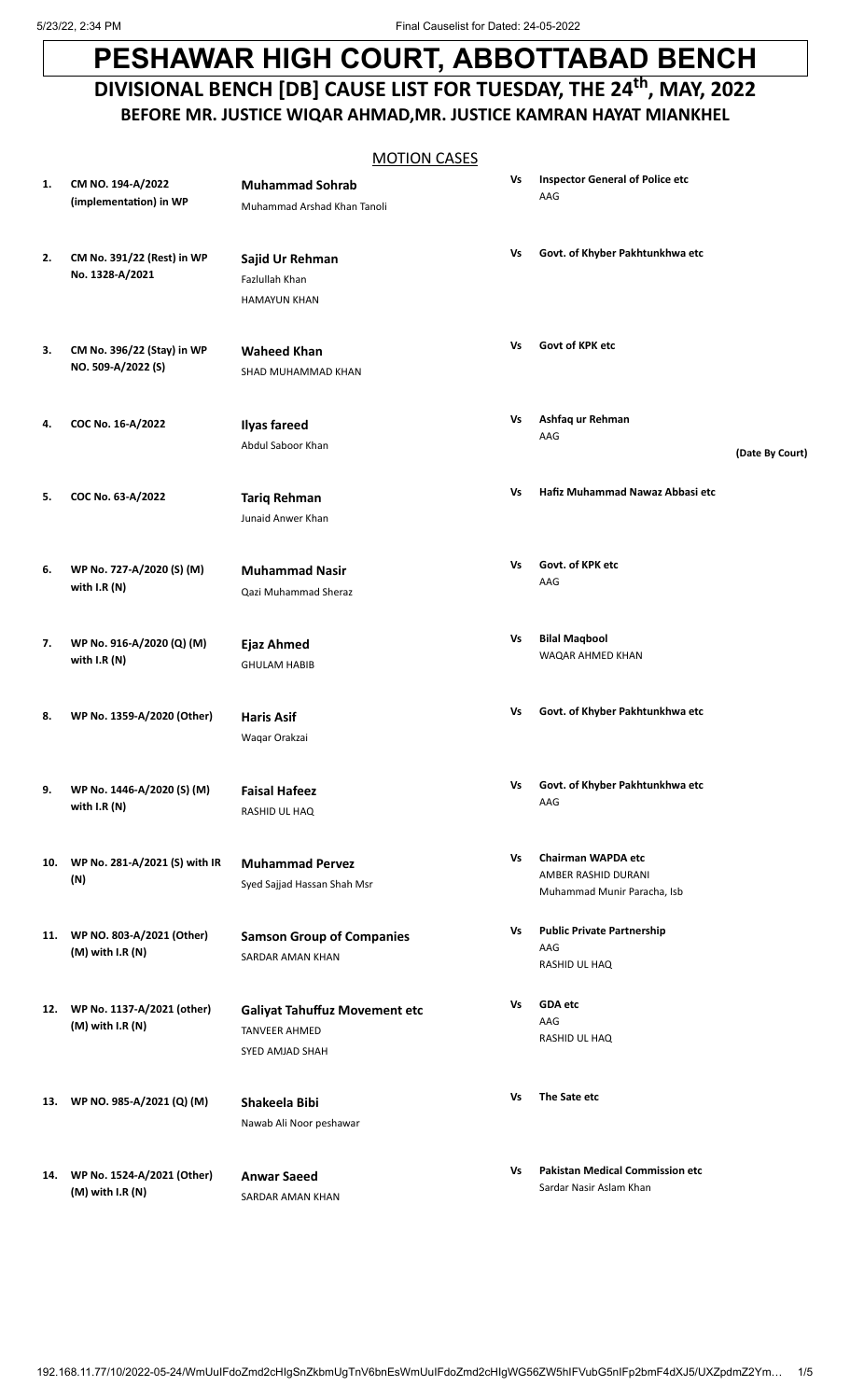## **PESHAWAR HIGH COURT, ABBOTTABAD BENCH** DIVISIONAL BENCH [DB] CAUSE LIST FOR TUESDAY, THE 24<sup>th</sup>, MAY, 2022 **BEFORE MR. JUSTICE WIQAR AHMAD,MR. JUSTICE KAMRAN HAYAT MIANKHEL**

## MOTION CASES

| 1. | CM NO. 194-A/2022<br>(implementation) in WP           | <b>Muhammad Sohrab</b><br>Muhammad Arshad Khan Tanoli                           | Vs | <b>Inspector General of Police etc</b><br>AAG                                   |                 |
|----|-------------------------------------------------------|---------------------------------------------------------------------------------|----|---------------------------------------------------------------------------------|-----------------|
| 2. | CM No. 391/22 (Rest) in WP<br>No. 1328-A/2021         | Sajid Ur Rehman<br>Fazlullah Khan<br><b>HAMAYUN KHAN</b>                        | Vs | Govt. of Khyber Pakhtunkhwa etc                                                 |                 |
| 3. | CM No. 396/22 (Stay) in WP<br>NO. 509-A/2022 (S)      | <b>Waheed Khan</b><br>SHAD MUHAMMAD KHAN                                        | Vs | Govt of KPK etc                                                                 |                 |
| 4. | COC No. 16-A/2022                                     | <b>Ilyas fareed</b><br>Abdul Saboor Khan                                        | Vs | Ashfaq ur Rehman<br>AAG                                                         | (Date By Court) |
| 5. | COC No. 63-A/2022                                     | <b>Tariq Rehman</b><br>Junaid Anwer Khan                                        | Vs | Hafiz Muhammad Nawaz Abbasi etc                                                 |                 |
| 6. | WP No. 727-A/2020 (S) (M)<br>with I.R (N)             | <b>Muhammad Nasir</b><br>Qazi Muhammad Sheraz                                   | Vs | Govt. of KPK etc<br>AAG                                                         |                 |
| 7. | WP No. 916-A/2020 (Q) (M)<br>with I.R (N)             | Ejaz Ahmed<br><b>GHULAM HABIB</b>                                               | Vs | <b>Bilal Maqbool</b><br>WAQAR AHMED KHAN                                        |                 |
| 8. | WP No. 1359-A/2020 (Other)                            | <b>Haris Asif</b><br>Waqar Orakzai                                              | Vs | Govt. of Khyber Pakhtunkhwa etc                                                 |                 |
| 9. | WP No. 1446-A/2020 (S) (M)<br>with $I.R(N)$           | <b>Faisal Hafeez</b><br>RASHID UL HAQ                                           | Vs | Govt. of Khyber Pakhtunkhwa etc<br>AAG                                          |                 |
|    | 10. WP No. 281-A/2021 (S) with IR<br>(N)              | <b>Muhammad Pervez</b><br>Syed Sajjad Hassan Shah Msr                           | Vs | <b>Chairman WAPDA etc</b><br>AMBER RASHID DURANI<br>Muhammad Munir Paracha, Isb |                 |
|    | 11. WP NO. 803-A/2021 (Other)<br>$(M)$ with I.R $(N)$ | <b>Samson Group of Companies</b><br>SARDAR AMAN KHAN                            | Vs | <b>Public Private Partnership</b><br>AAG<br>RASHID UL HAQ                       |                 |
|    | 12. WP No. 1137-A/2021 (other)<br>(M) with I.R (N)    | <b>Galiyat Tahuffuz Movement etc</b><br><b>TANVEER AHMED</b><br>SYED AMJAD SHAH | Vs | <b>GDA</b> etc<br>AAG<br>RASHID UL HAQ                                          |                 |
|    | 13. WP NO. 985-A/2021 (Q) (M)                         | Shakeela Bibi<br>Nawab Ali Noor peshawar                                        | Vs | The Sate etc                                                                    |                 |
|    | 14. WP No. 1524-A/2021 (Other)<br>(M) with I.R (N)    | <b>Anwar Saeed</b><br>SARDAR AMAN KHAN                                          | ٧s | <b>Pakistan Medical Commission etc</b><br>Sardar Nasir Aslam Khan               |                 |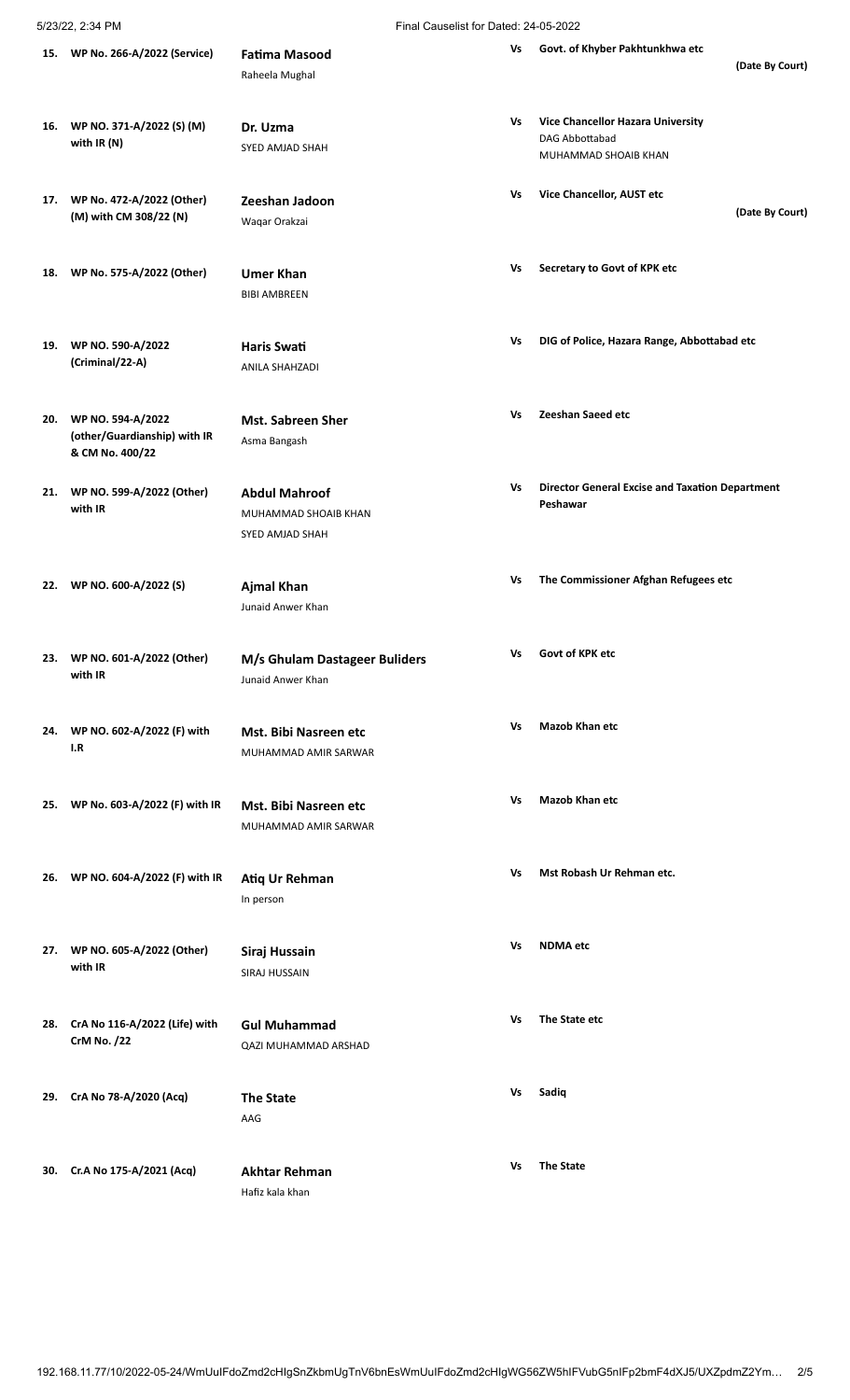5/23/22, 2:34 PM Final Causelist for Dated: 24-05-2022

|     | 15. WP No. 266-A/2022 (Service)                                      | <b>Fatima Masood</b><br>Raheela Mughal                          | Vs | Govt. of Khyber Pakhtunkhwa etc<br>(Date By Court)                          |
|-----|----------------------------------------------------------------------|-----------------------------------------------------------------|----|-----------------------------------------------------------------------------|
| 16. | WP NO. 371-A/2022 (S) (M)<br>with IR (N)                             | Dr. Uzma<br>SYED AMJAD SHAH                                     | Vs | Vice Chancellor Hazara University<br>DAG Abbottabad<br>MUHAMMAD SHOAIB KHAN |
|     | 17. WP No. 472-A/2022 (Other)<br>(M) with CM 308/22 (N)              | Zeeshan Jadoon<br>Waqar Orakzai                                 | Vs | Vice Chancellor, AUST etc<br>(Date By Court)                                |
| 18. | WP No. 575-A/2022 (Other)                                            | <b>Umer Khan</b><br><b>BIBI AMBREEN</b>                         | Vs | Secretary to Govt of KPK etc                                                |
| 19. | WP NO. 590-A/2022<br>(Criminal/22-A)                                 | <b>Haris Swati</b><br>ANILA SHAHZADI                            | Vs | DIG of Police, Hazara Range, Abbottabad etc                                 |
| 20. | WP NO. 594-A/2022<br>(other/Guardianship) with IR<br>& CM No. 400/22 | <b>Mst. Sabreen Sher</b><br>Asma Bangash                        | Vs | Zeeshan Saeed etc                                                           |
|     | 21. WP NO. 599-A/2022 (Other)<br>with IR                             | <b>Abdul Mahroof</b><br>MUHAMMAD SHOAIB KHAN<br>SYED AMJAD SHAH | Vs | <b>Director General Excise and Taxation Department</b><br>Peshawar          |
| 22. | WP NO. 600-A/2022 (S)                                                | <b>Ajmal Khan</b><br>Junaid Anwer Khan                          | Vs | The Commissioner Afghan Refugees etc                                        |
|     | 23. WP NO. 601-A/2022 (Other)<br>with IR                             | M/s Ghulam Dastageer Buliders<br>Junaid Anwer Khan              | Vs | Govt of KPK etc                                                             |
|     | 24. WP NO. 602-A/2022 (F) with<br>I.R                                | Mst. Bibi Nasreen etc<br>MUHAMMAD AMIR SARWAR                   | Vs | <b>Mazob Khan etc</b>                                                       |
| 25. | WP No. 603-A/2022 (F) with IR                                        | Mst. Bibi Nasreen etc<br>MUHAMMAD AMIR SARWAR                   | Vs | <b>Mazob Khan etc</b>                                                       |
| 26. | WP NO. 604-A/2022 (F) with IR                                        | Atiq Ur Rehman<br>In person                                     | Vs | Mst Robash Ur Rehman etc.                                                   |
|     | 27. WP NO. 605-A/2022 (Other)<br>with IR                             | Siraj Hussain<br>SIRAJ HUSSAIN                                  | ٧s | <b>NDMA</b> etc                                                             |
| 28. | CrA No 116-A/2022 (Life) with<br><b>CrM No. /22</b>                  | <b>Gul Muhammad</b><br>QAZI MUHAMMAD ARSHAD                     | Vs | The State etc                                                               |
| 29. | CrA No 78-A/2020 (Acq)                                               | <b>The State</b><br>AAG                                         | Vs | Sadiq                                                                       |
|     | 30. Cr.A No 175-A/2021 (Acq)                                         | <b>Akhtar Rehman</b><br>Hafiz kala khan                         | Vs | <b>The State</b>                                                            |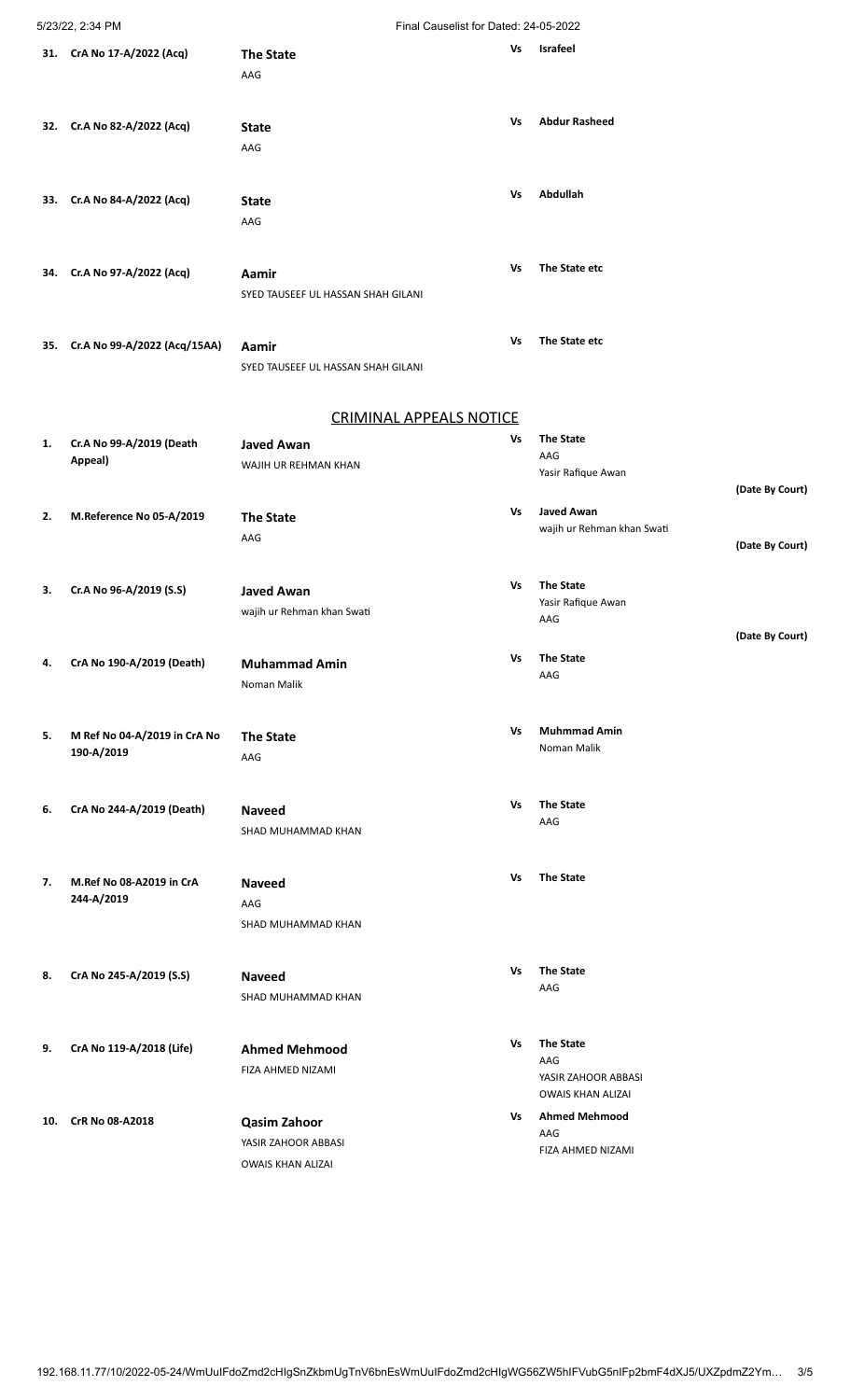## 5/23/22, 2:34 PM Final Causelist for Dated: 24-05-2022

|     | 31. CrA No 17-A/2022 (Acq)       | <b>The State</b>                   | Vs | <b>Israfeel</b>            |                 |
|-----|----------------------------------|------------------------------------|----|----------------------------|-----------------|
|     |                                  | AAG                                |    |                            |                 |
|     |                                  |                                    |    |                            |                 |
|     | 32. Cr.A No 82-A/2022 (Acq)      |                                    | Vs | <b>Abdur Rasheed</b>       |                 |
|     |                                  | <b>State</b>                       |    |                            |                 |
|     |                                  | AAG                                |    |                            |                 |
|     |                                  |                                    |    |                            |                 |
|     | 33. Cr.A No 84-A/2022 (Acq)      | <b>State</b>                       | Vs | Abdullah                   |                 |
|     |                                  | AAG                                |    |                            |                 |
|     |                                  |                                    |    |                            |                 |
|     | 34. Cr.A No 97-A/2022 (Acq)      | Aamir                              | Vs | The State etc              |                 |
|     |                                  | SYED TAUSEEF UL HASSAN SHAH GILANI |    |                            |                 |
|     |                                  |                                    |    |                            |                 |
|     | 35. Cr.A No 99-A/2022 (Acq/15AA) | Aamir                              | Vs | The State etc              |                 |
|     |                                  | SYED TAUSEEF UL HASSAN SHAH GILANI |    |                            |                 |
|     |                                  |                                    |    |                            |                 |
|     |                                  |                                    |    |                            |                 |
|     |                                  | <b>CRIMINAL APPEALS NOTICE</b>     |    |                            |                 |
| 1.  | Cr.A No 99-A/2019 (Death         | <b>Javed Awan</b>                  | ٧s | <b>The State</b><br>AAG    |                 |
|     | Appeal)                          | WAJIH UR REHMAN KHAN               |    | Yasir Rafique Awan         |                 |
|     |                                  |                                    |    |                            | (Date By Court) |
| 2.  | M.Reference No 05-A/2019         | <b>The State</b>                   | Vs | <b>Javed Awan</b>          |                 |
|     |                                  | AAG                                |    | wajih ur Rehman khan Swati | (Date By Court) |
|     |                                  |                                    |    |                            |                 |
| 3.  | Cr.A No 96-A/2019 (S.S)          | <b>Javed Awan</b>                  | Vs | <b>The State</b>           |                 |
|     |                                  | wajih ur Rehman khan Swati         |    | Yasir Rafique Awan         |                 |
|     |                                  |                                    |    | AAG                        |                 |
|     |                                  |                                    |    |                            | (Date By Court) |
|     | 4. CrA No 190-A/2019 (Death)     | <b>Muhammad Amin</b>               | ٧s | <b>The State</b><br>AAG    |                 |
|     |                                  | Noman Malik                        |    |                            |                 |
|     |                                  |                                    |    |                            |                 |
| 5.  | M Ref No 04-A/2019 in CrA No     | <b>The State</b>                   | Vs | <b>Muhmmad Amin</b>        |                 |
|     | 190-A/2019                       | AAG                                |    | Noman Malik                |                 |
|     |                                  |                                    |    |                            |                 |
| 6.  | CrA No 244-A/2019 (Death)        | <b>Naveed</b>                      | Vs | <b>The State</b>           |                 |
|     |                                  | SHAD MUHAMMAD KHAN                 |    | AAG                        |                 |
|     |                                  |                                    |    |                            |                 |
| 7.  | M.Ref No 08-A2019 in CrA         | <b>Naveed</b>                      | Vs | <b>The State</b>           |                 |
|     | 244-A/2019                       | AAG                                |    |                            |                 |
|     |                                  | SHAD MUHAMMAD KHAN                 |    |                            |                 |
|     |                                  |                                    |    |                            |                 |
|     |                                  |                                    | Vs | <b>The State</b>           |                 |
| 8.  | CrA No 245-A/2019 (S.S)          | <b>Naveed</b>                      |    | AAG                        |                 |
|     |                                  | SHAD MUHAMMAD KHAN                 |    |                            |                 |
|     |                                  |                                    |    |                            |                 |
| 9.  | CrA No 119-A/2018 (Life)         | <b>Ahmed Mehmood</b>               | Vs | <b>The State</b><br>AAG    |                 |
|     |                                  | FIZA AHMED NIZAMI                  |    | YASIR ZAHOOR ABBASI        |                 |
|     |                                  |                                    |    | <b>OWAIS KHAN ALIZAI</b>   |                 |
| 10. | CrR No 08-A2018                  | <b>Qasim Zahoor</b>                | Vs | <b>Ahmed Mehmood</b>       |                 |
|     |                                  | YASIR ZAHOOR ABBASI                |    | AAG<br>FIZA AHMED NIZAMI   |                 |
|     |                                  | <b>OWAIS KHAN ALIZAI</b>           |    |                            |                 |
|     |                                  |                                    |    |                            |                 |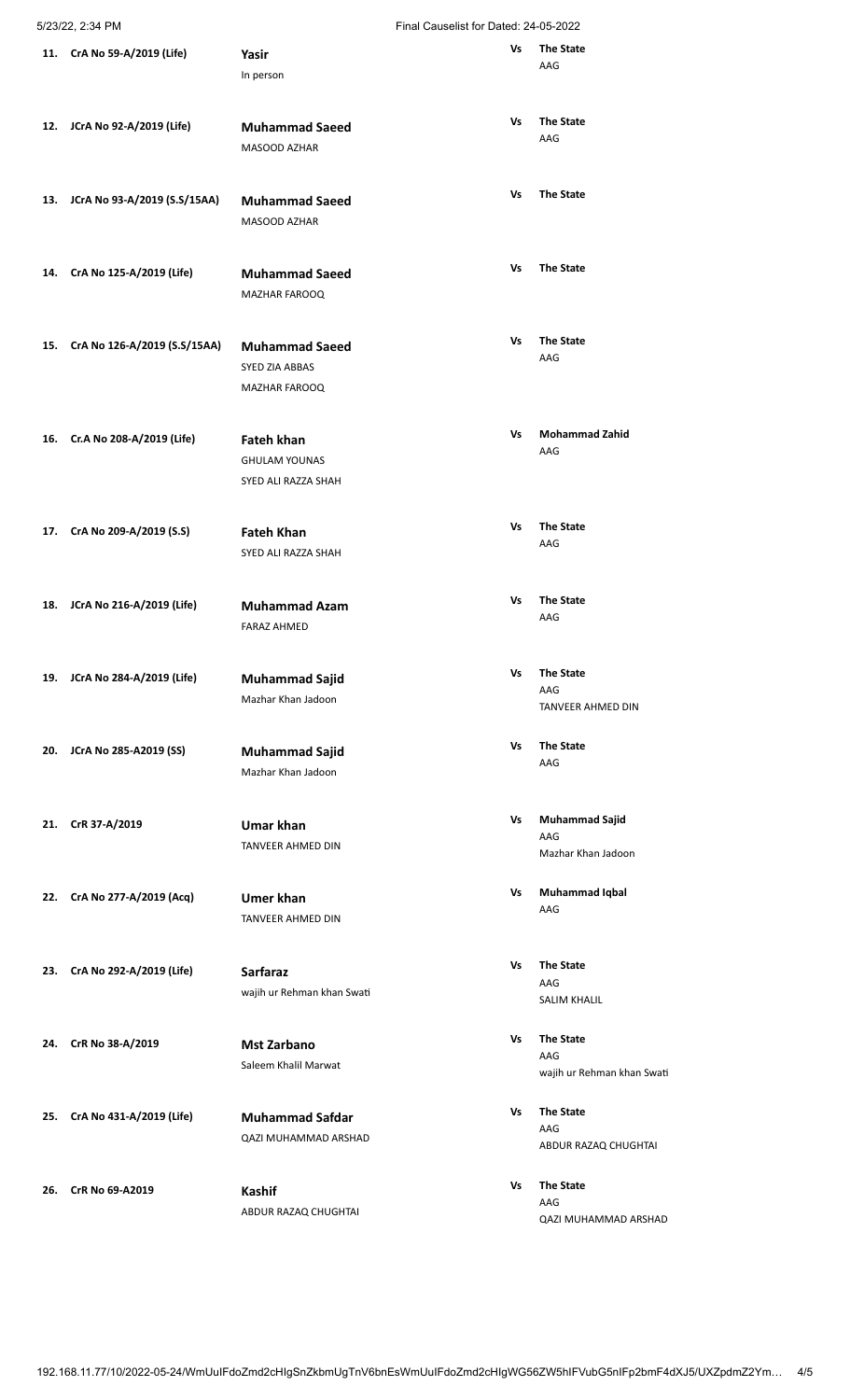| Final Causelist for Dated: 24-05-2022 |  |
|---------------------------------------|--|
|                                       |  |

|     | 5/23/22, 2:34 PM             |                                                                  | Final Causelist for Dated: 24-05-2022 |                                                        |  |  |
|-----|------------------------------|------------------------------------------------------------------|---------------------------------------|--------------------------------------------------------|--|--|
| 11. | CrA No 59-A/2019 (Life)      | Yasir<br>In person                                               | Vs                                    | <b>The State</b><br>AAG                                |  |  |
| 12. | JCrA No 92-A/2019 (Life)     | <b>Muhammad Saeed</b><br>MASOOD AZHAR                            | Vs                                    | <b>The State</b><br>AAG                                |  |  |
| 13. | JCrA No 93-A/2019 (S.S/15AA) | <b>Muhammad Saeed</b><br>MASOOD AZHAR                            | Vs                                    | <b>The State</b>                                       |  |  |
| 14. | CrA No 125-A/2019 (Life)     | <b>Muhammad Saeed</b><br>MAZHAR FAROOQ                           | Vs                                    | <b>The State</b>                                       |  |  |
| 15. | CrA No 126-A/2019 (S.S/15AA) | <b>Muhammad Saeed</b><br>SYED ZIA ABBAS<br>MAZHAR FAROOQ         | Vs                                    | <b>The State</b><br>AAG                                |  |  |
| 16. | Cr.A No 208-A/2019 (Life)    | <b>Fateh khan</b><br><b>GHULAM YOUNAS</b><br>SYED ALI RAZZA SHAH | Vs                                    | <b>Mohammad Zahid</b><br>AAG                           |  |  |
| 17. | CrA No 209-A/2019 (S.S)      | <b>Fateh Khan</b><br>SYED ALI RAZZA SHAH                         | Vs                                    | <b>The State</b><br>AAG                                |  |  |
| 18. | JCrA No 216-A/2019 (Life)    | <b>Muhammad Azam</b><br><b>FARAZ AHMED</b>                       | Vs                                    | <b>The State</b><br>AAG                                |  |  |
| 19. | JCrA No 284-A/2019 (Life)    | <b>Muhammad Sajid</b><br>Mazhar Khan Jadoon                      | Vs                                    | <b>The State</b><br>AAG<br><b>TANVEER AHMED DIN</b>    |  |  |
| 20. | JCrA No 285-A2019 (SS)       | <b>Muhammad Sajid</b><br>Mazhar Khan Jadoon                      | Vs                                    | <b>The State</b><br>AAG                                |  |  |
| 21. | CrR 37-A/2019                | Umar khan<br>TANVEER AHMED DIN                                   | Vs                                    | <b>Muhammad Sajid</b><br>AAG<br>Mazhar Khan Jadoon     |  |  |
| 22. | CrA No 277-A/2019 (Acq)      | <b>Umer khan</b><br><b>TANVEER AHMED DIN</b>                     | Vs                                    | Muhammad Iqbal<br>AAG                                  |  |  |
| 23. | CrA No 292-A/2019 (Life)     | <b>Sarfaraz</b><br>wajih ur Rehman khan Swati                    | Vs                                    | <b>The State</b><br>AAG<br><b>SALIM KHALIL</b>         |  |  |
| 24. | CrR No 38-A/2019             | <b>Mst Zarbano</b><br>Saleem Khalil Marwat                       | Vs                                    | <b>The State</b><br>AAG<br>wajih ur Rehman khan Swati  |  |  |
| 25. | CrA No 431-A/2019 (Life)     | <b>Muhammad Safdar</b><br>QAZI MUHAMMAD ARSHAD                   | Vs                                    | <b>The State</b><br>AAG<br>ABDUR RAZAQ CHUGHTAI        |  |  |
| 26. | CrR No 69-A2019              | Kashif<br>ABDUR RAZAQ CHUGHTAI                                   | Vs                                    | <b>The State</b><br>AAG<br><b>QAZI MUHAMMAD ARSHAD</b> |  |  |